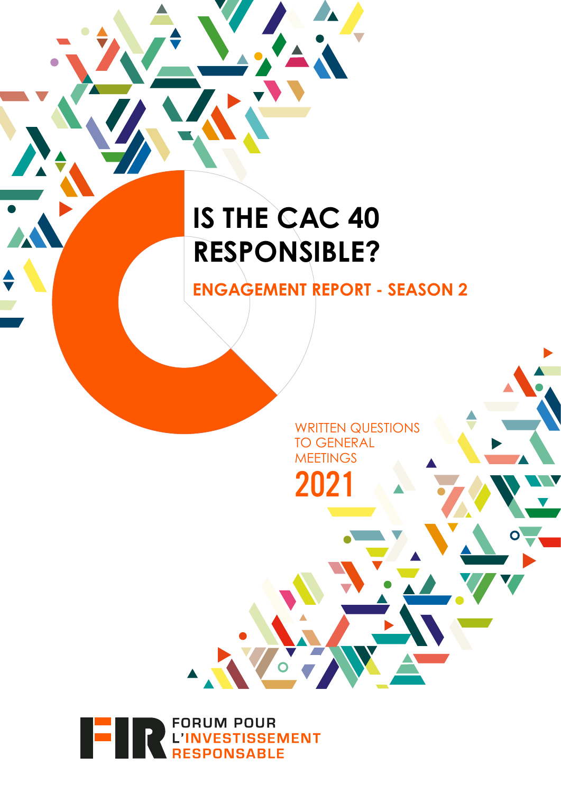# **IS THE CAC 40 RESPONSIBLE?**

**ENGAGEMENT REPORT - SEASON 2**

WRITTEN QUESTIONS TO GENERAL **MEETINGS** 2021



 $\blacktriangle$   $\frac{1}{2}$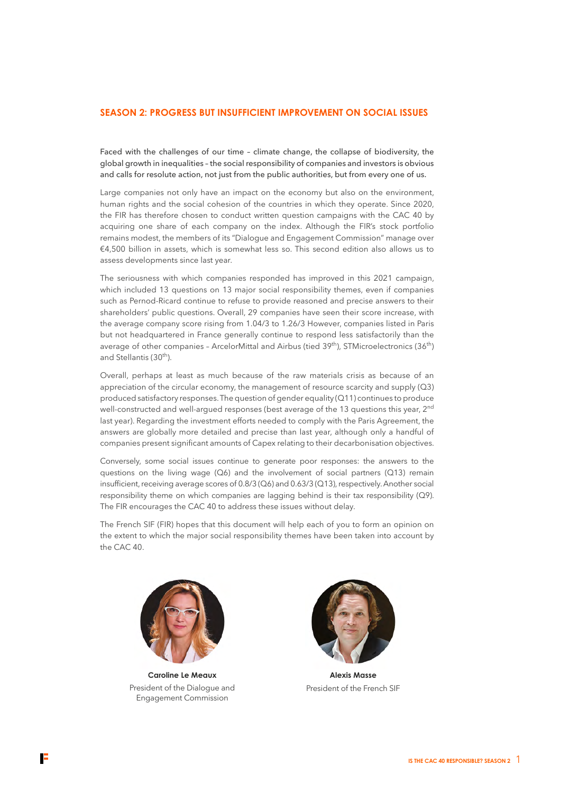### **SEASON 2: PROGRESS BUT INSUFFICIENT IMPROVEMENT ON SOCIAL ISSUES**

Faced with the challenges of our time – climate change, the collapse of biodiversity, the global growth in inequalities – the social responsibility of companies and investors is obvious and calls for resolute action, not just from the public authorities, but from every one of us.

Large companies not only have an impact on the economy but also on the environment, human rights and the social cohesion of the countries in which they operate. Since 2020, the FIR has therefore chosen to conduct written question campaigns with the CAC 40 by acquiring one share of each company on the index. Although the FIR's stock portfolio remains modest, the members of its "Dialogue and Engagement Commission" manage over €4,500 billion in assets, which is somewhat less so. This second edition also allows us to assess developments since last year.

The seriousness with which companies responded has improved in this 2021 campaign, which included 13 questions on 13 major social responsibility themes, even if companies such as Pernod-Ricard continue to refuse to provide reasoned and precise answers to their shareholders' public questions. Overall, 29 companies have seen their score increase, with the average company score rising from 1.04/3 to 1.26/3 However, companies listed in Paris but not headquartered in France generally continue to respond less satisfactorily than the average of other companies - ArcelorMittal and Airbus (tied 39<sup>th</sup>), STMicroelectronics (36<sup>th</sup>) and Stellantis (30th).

Overall, perhaps at least as much because of the raw materials crisis as because of an appreciation of the circular economy, the management of resource scarcity and supply (Q3) produced satisfactory responses. The question of gender equality (Q11) continues to produce well-constructed and well-argued responses (best average of the 13 questions this year, 2<sup>nd</sup> last year). Regarding the investment efforts needed to comply with the Paris Agreement, the answers are globally more detailed and precise than last year, although only a handful of companies present significant amounts of Capex relating to their decarbonisation objectives.

Conversely, some social issues continue to generate poor responses: the answers to the questions on the living wage  $(Q6)$  and the involvement of social partners  $(Q13)$  remain insufficient, receiving average scores of 0.8/3 (Q6) and 0.63/3 (Q13), respectively. Another social responsibility theme on which companies are lagging behind is their tax responsibility (Q9). The FIR encourages the CAC 40 to address these issues without delay.

The French SIF (FIR) hopes that this document will help each of you to form an opinion on the extent to which the major social responsibility themes have been taken into account by the CAC 40.



**Caroline Le Meaux** President of the Dialogue and Engagement Commission



**Alexis Masse** President of the French SIF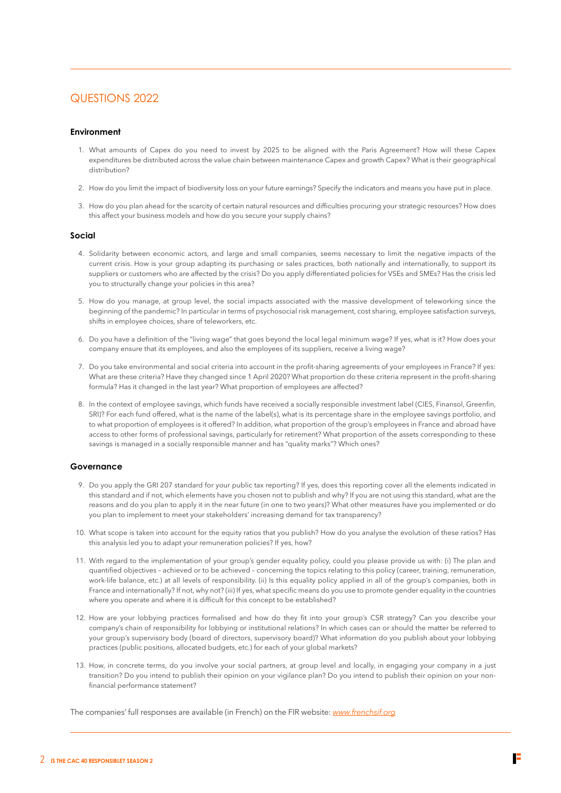### QUESTIONS 2022

### **Environment**

- 1. What amounts of Capex do you need to invest by 2025 to be aligned with the Paris Agreement? How will these Capex expenditures be distributed across the value chain between maintenance Capex and growth Capex? What is their geographical distribution?
- 2. How do you limit the impact of biodiversity loss on your future earnings? Specify the indicators and means you have put in place.
- 3. How do you plan ahead for the scarcity of certain natural resources and difficulties procuring your strategic resources? How does this affect your business models and how do you secure your supply chains?

### **Social**

- 4. Solidarity between economic actors, and large and small companies, seems necessary to limit the negative impacts of the current crisis. How is your group adapting its purchasing or sales practices, both nationally and internationally, to support its suppliers or customers who are affected by the crisis? Do you apply differentiated policies for VSEs and SMEs? Has the crisis led you to structurally change your policies in this area?
- 5. How do you manage, at group level, the social impacts associated with the massive development of teleworking since the beginning of the pandemic? In particular in terms of psychosocial risk management, cost sharing, employee satisfaction surveys, shifts in employee choices, share of teleworkers, etc.
- 6. Do you have a definition of the "living wage" that goes beyond the local legal minimum wage? If yes, what is it? How does your company ensure that its employees, and also the employees of its suppliers, receive a living wage?
- 7. Do you take environmental and social criteria into account in the profit-sharing agreements of your employees in France? If yes: What are these criteria? Have they changed since 1 April 2020? What proportion do these criteria represent in the profit-sharing formula? Has it changed in the last year? What proportion of employees are affected?
- 8. In the context of employee savings, which funds have received a socially responsible investment label (CIES, Finansol, Greenfin, SRI)? For each fund offered, what is the name of the label(s), what is its percentage share in the employee savings portfolio, and to what proportion of employees is it offered? In addition, what proportion of the group's employees in France and abroad have access to other forms of professional savings, particularly for retirement? What proportion of the assets corresponding to these savings is managed in a socially responsible manner and has "quality marks"? Which ones?

### **Governance**

- 9. Do you apply the GRI 207 standard for your public tax reporting? If yes, does this reporting cover all the elements indicated in this standard and if not, which elements have you chosen not to publish and why? If you are not using this standard, what are the reasons and do you plan to apply it in the near future (in one to two years)? What other measures have you implemented or do you plan to implement to meet your stakeholders' increasing demand for tax transparency?
- 10. What scope is taken into account for the equity ratios that you publish? How do you analyse the evolution of these ratios? Has this analysis led you to adapt your remuneration policies? If yes, how?
- 11. With regard to the implementation of your group's gender equality policy, could you please provide us with: (i) The plan and quantified objectives – achieved or to be achieved – concerning the topics relating to this policy (career, training, remuneration, work-life balance, etc.) at all levels of responsibility. (ii) Is this equality policy applied in all of the group's companies, both in France and internationally? If not, why not? (iii) If yes, what specific means do you use to promote gender equality in the countries where you operate and where it is difficult for this concept to be established?
- 12. How are your lobbying practices formalised and how do they fit into your group's CSR strategy? Can you describe your company's chain of responsibility for lobbying or institutional relations? In which cases can or should the matter be referred to your group's supervisory body (board of directors, supervisory board)? What information do you publish about your lobbying practices (public positions, allocated budgets, etc.) for each of your global markets?
- 13. How, in concrete terms, do you involve your social partners, at group level and locally, in engaging your company in a just transition? Do you intend to publish their opinion on your vigilance plan? Do you intend to publish their opinion on your nonfinancial performance statement?

The companies' full responses are available (in French) on the FIR website: *[www.frenchsif.org](https://www.frenchsif.org)*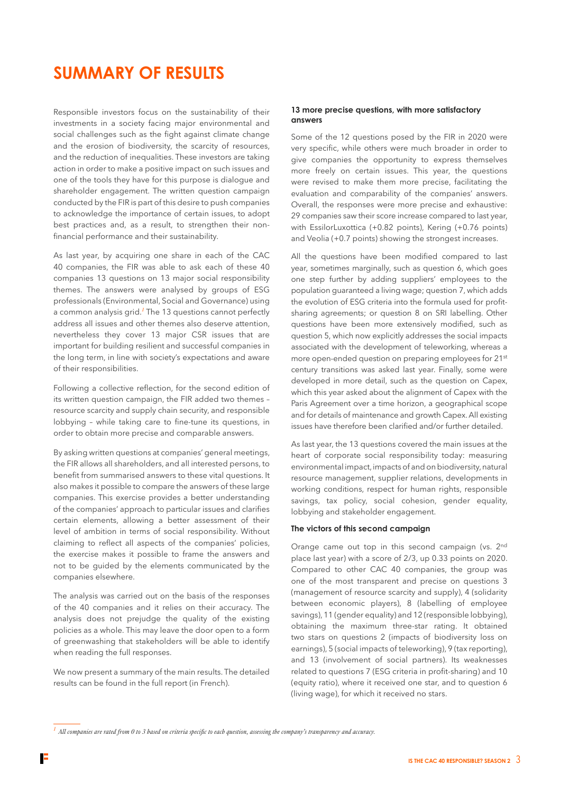# **SUMMARY OF RESULTS**

Responsible investors focus on the sustainability of their investments in a society facing major environmental and social challenges such as the fight against climate change and the erosion of biodiversity, the scarcity of resources, and the reduction of inequalities. These investors are taking action in order to make a positive impact on such issues and one of the tools they have for this purpose is dialogue and shareholder engagement. The written question campaign conducted by the FIR is part of this desire to push companies to acknowledge the importance of certain issues, to adopt best practices and, as a result, to strengthen their nonfinancial performance and their sustainability.

As last year, by acquiring one share in each of the CAC 40 companies, the FIR was able to ask each of these 40 companies 13 questions on 13 major social responsibility themes. The answers were analysed by groups of ESG professionals (Environmental, Social and Governance) using a common analysis grid.*<sup>1</sup>* The 13 questions cannot perfectly address all issues and other themes also deserve attention, nevertheless they cover 13 major CSR issues that are important for building resilient and successful companies in the long term, in line with society's expectations and aware of their responsibilities.

Following a collective reflection, for the second edition of its written question campaign, the FIR added two themes – resource scarcity and supply chain security, and responsible lobbying – while taking care to fine-tune its questions, in order to obtain more precise and comparable answers.

By asking written questions at companies' general meetings, the FIR allows all shareholders, and all interested persons, to benefit from summarised answers to these vital questions. It also makes it possible to compare the answers of these large companies. This exercise provides a better understanding of the companies' approach to particular issues and clarifies certain elements, allowing a better assessment of their level of ambition in terms of social responsibility. Without claiming to reflect all aspects of the companies' policies, the exercise makes it possible to frame the answers and not to be guided by the elements communicated by the companies elsewhere.

The analysis was carried out on the basis of the responses of the 40 companies and it relies on their accuracy. The analysis does not prejudge the quality of the existing policies as a whole. This may leave the door open to a form of greenwashing that stakeholders will be able to identify when reading the full responses.

We now present a summary of the main results. The detailed results can be found in the full report (in French).

### **13 more precise questions, with more satisfactory answers**

Some of the 12 questions posed by the FIR in 2020 were very specific, while others were much broader in order to give companies the opportunity to express themselves more freely on certain issues. This year, the questions were revised to make them more precise, facilitating the evaluation and comparability of the companies' answers. Overall, the responses were more precise and exhaustive: 29 companies saw their score increase compared to last year, with EssilorLuxottica (+0.82 points), Kering (+0.76 points) and Veolia (+0.7 points) showing the strongest increases.

All the questions have been modified compared to last year, sometimes marginally, such as question 6, which goes one step further by adding suppliers' employees to the population guaranteed a living wage; question 7, which adds the evolution of ESG criteria into the formula used for profitsharing agreements; or question 8 on SRI labelling. Other questions have been more extensively modified, such as question 5, which now explicitly addresses the social impacts associated with the development of teleworking, whereas a more open-ended question on preparing employees for 21st century transitions was asked last year. Finally, some were developed in more detail, such as the question on Capex, which this year asked about the alignment of Capex with the Paris Agreement over a time horizon, a geographical scope and for details of maintenance and growth Capex. All existing issues have therefore been clarified and/or further detailed.

As last year, the 13 questions covered the main issues at the heart of corporate social responsibility today: measuring environmental impact, impacts of and on biodiversity, natural resource management, supplier relations, developments in working conditions, respect for human rights, responsible savings, tax policy, social cohesion, gender equality, lobbying and stakeholder engagement.

### **The victors of this second campaign**

Orange came out top in this second campaign (vs. 2nd place last year) with a score of 2/3, up 0.33 points on 2020. Compared to other CAC 40 companies, the group was one of the most transparent and precise on questions 3 (management of resource scarcity and supply), 4 (solidarity between economic players), 8 (labelling of employee savings), 11 (gender equality) and 12 (responsible lobbying), obtaining the maximum three-star rating. It obtained two stars on questions 2 (impacts of biodiversity loss on earnings), 5 (social impacts of teleworking), 9 (tax reporting), and 13 (involvement of social partners). Its weaknesses related to questions 7 (ESG criteria in profit-sharing) and 10 (equity ratio), where it received one star, and to question 6 (living wage), for which it received no stars.

*<sup>1</sup> All companies are rated from 0 to 3 based on criteria specific to each question, assessing the company's transparency and accuracy.*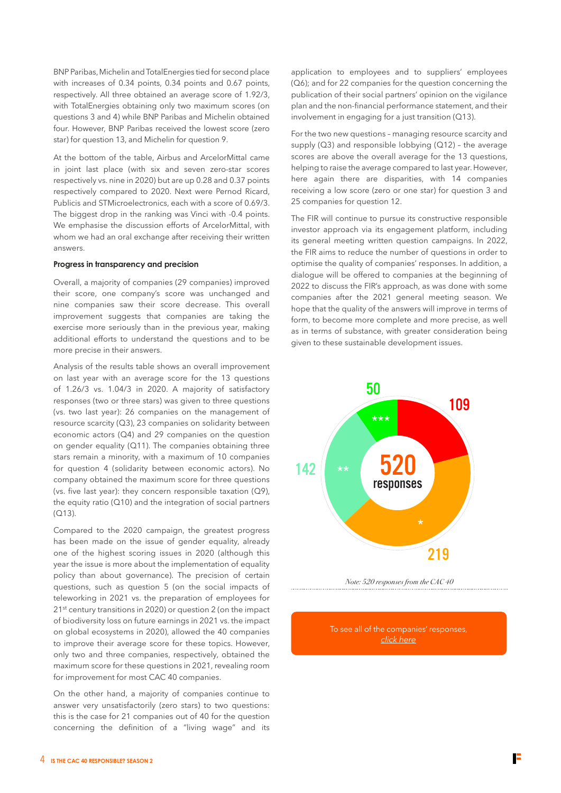BNP Paribas, Michelin and TotalEnergies tied for second place with increases of 0.34 points, 0.34 points and 0.67 points, respectively. All three obtained an average score of 1.92/3, with TotalEnergies obtaining only two maximum scores (on questions 3 and 4) while BNP Paribas and Michelin obtained four. However, BNP Paribas received the lowest score (zero star) for question 13, and Michelin for question 9.

At the bottom of the table, Airbus and ArcelorMittal came in joint last place (with six and seven zero-star scores respectively vs. nine in 2020) but are up 0.28 and 0.37 points respectively compared to 2020. Next were Pernod Ricard, Publicis and STMicroelectronics, each with a score of 0.69/3. The biggest drop in the ranking was Vinci with -0.4 points. We emphasise the discussion efforts of ArcelorMittal, with whom we had an oral exchange after receiving their written answers.

### **Progress in transparency and precision**

Overall, a majority of companies (29 companies) improved their score, one company's score was unchanged and nine companies saw their score decrease. This overall improvement suggests that companies are taking the exercise more seriously than in the previous year, making additional efforts to understand the questions and to be more precise in their answers.

Analysis of the results table shows an overall improvement on last year with an average score for the 13 questions of 1.26/3 vs. 1.04/3 in 2020. A majority of satisfactory responses (two or three stars) was given to three questions (vs. two last year): 26 companies on the management of resource scarcity (Q3), 23 companies on solidarity between economic actors (Q4) and 29 companies on the question on gender equality (Q11). The companies obtaining three stars remain a minority, with a maximum of 10 companies for question 4 (solidarity between economic actors). No company obtained the maximum score for three questions (vs. five last year): they concern responsible taxation (Q9), the equity ratio  $(Q10)$  and the integration of social partners (Q13).

Compared to the 2020 campaign, the greatest progress has been made on the issue of gender equality, already one of the highest scoring issues in 2020 (although this year the issue is more about the implementation of equality policy than about governance). The precision of certain questions, such as question 5 (on the social impacts of teleworking in 2021 vs. the preparation of employees for 21st century transitions in 2020) or question 2 (on the impact of biodiversity loss on future earnings in 2021 vs. the impact on global ecosystems in 2020), allowed the 40 companies to improve their average score for these topics. However, only two and three companies, respectively, obtained the maximum score for these questions in 2021, revealing room for improvement for most CAC 40 companies.

On the other hand, a majority of companies continue to answer very unsatisfactorily (zero stars) to two questions: this is the case for 21 companies out of 40 for the question concerning the definition of a "living wage" and its

application to employees and to suppliers' employees (Q6); and for 22 companies for the question concerning the publication of their social partners' opinion on the vigilance plan and the non-financial performance statement, and their involvement in engaging for a just transition (Q13).

For the two new questions – managing resource scarcity and supply (Q3) and responsible lobbying (Q12) – the average scores are above the overall average for the 13 questions. helping to raise the average compared to last year. However, here again there are disparities, with 14 companies receiving a low score (zero or one star) for question 3 and 25 companies for question 12.

The FIR will continue to pursue its constructive responsible investor approach via its engagement platform, including its general meeting written question campaigns. In 2022, the FIR aims to reduce the number of questions in order to optimise the quality of companies' responses. In addition, a dialogue will be offered to companies at the beginning of 2022 to discuss the FIR's approach, as was done with some companies after the 2021 general meeting season. We hope that the quality of the answers will improve in terms of form, to become more complete and more precise, as well as in terms of substance, with greater consideration being given to these sustainable development issues.



To see all of the companies' responses, *[click here](https://www.frenchsif.org/isr-esg/wp-content/uploads/2022_reponses_Campagne-FIR-AG2021.pdf)*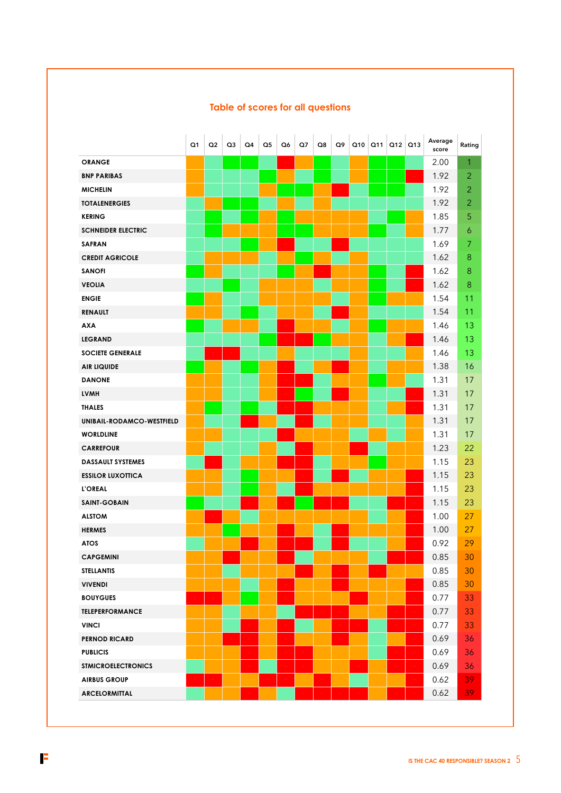|                           | O <sub>1</sub> | Q <sub>2</sub> | Q3 | Q4 | $\Omega$ | Q6 | Q7 | Q8 | Q9 |               | $Q10$ $Q11$ | Q12   Q13 | Average<br>score | Rating         |
|---------------------------|----------------|----------------|----|----|----------|----|----|----|----|---------------|-------------|-----------|------------------|----------------|
| <b>ORANGE</b>             |                |                |    |    |          |    |    |    |    |               |             |           | 2.00             | 1              |
| <b>BNP PARIBAS</b>        |                |                |    |    |          |    |    |    |    |               |             |           | 1.92             | $\overline{2}$ |
| <b>MICHELIN</b>           |                |                |    |    |          |    |    |    |    |               |             |           | 1.92             | $\overline{2}$ |
| <b>TOTALENERGIES</b>      |                |                |    |    |          |    |    |    |    |               |             |           | 1.92             | $\overline{2}$ |
| <b>KERING</b>             |                |                |    |    |          |    |    |    |    |               |             |           | 1.85             | 5              |
| <b>SCHNEIDER ELECTRIC</b> |                |                |    |    |          |    |    |    |    |               |             |           | 1.77             | 6              |
| <b>SAFRAN</b>             |                |                |    |    |          |    |    |    |    |               |             |           | 1.69             | 7              |
| <b>CREDIT AGRICOLE</b>    |                |                |    |    |          |    |    |    |    |               |             |           | 1.62             | 8              |
| <b>SANOFI</b>             |                |                |    |    |          |    |    |    |    |               |             |           | 1.62             | 8              |
| <b>VEOLIA</b>             |                |                |    |    |          |    |    |    |    |               |             |           | 1.62             | 8              |
| <b>ENGIE</b>              |                |                |    |    |          |    |    |    |    |               |             |           | 1.54             | 11             |
| <b>RENAULT</b>            |                |                |    |    |          |    |    |    |    |               |             |           | 1.54             | 11             |
| <b>AXA</b>                |                |                |    |    |          |    |    |    |    |               |             |           | 1.46             | 13             |
| <b>LEGRAND</b>            |                |                |    |    |          |    |    |    |    |               |             |           | 1.46             | 13             |
| <b>SOCIETE GENERALE</b>   |                |                |    |    |          |    |    |    |    |               |             |           | 1.46             | 13             |
| <b>AIR LIQUIDE</b>        |                |                |    |    |          |    |    |    |    |               |             |           | 1.38             | 16             |
| <b>DANONE</b>             |                |                |    |    |          |    |    |    |    |               |             |           | 1.31             | 17             |
| <b>LVMH</b>               |                |                |    |    |          |    |    |    |    |               |             |           | 1.31             | 17             |
| <b>THALES</b>             |                |                |    |    |          |    |    |    |    |               |             |           | 1.31             | 17             |
| UNIBAIL-RODAMCO-WESTFIELD |                |                |    |    |          |    |    |    |    |               |             |           | 1.31             | 17             |
| <b>WORLDLINE</b>          |                |                |    |    |          |    |    |    |    |               |             |           | 1.31             | 17             |
| <b>CARREFOUR</b>          |                |                |    |    |          |    |    |    |    | $\mathcal{L}$ |             |           | 1.23             | 22             |
| <b>DASSAULT SYSTEMES</b>  |                |                |    |    |          |    |    |    |    |               |             |           | 1.15             | 23             |
| <b>ESSILOR LUXOTTICA</b>  |                |                |    |    |          |    |    |    |    |               |             |           | 1.15             | 23             |
| <b>L'OREAL</b>            |                |                |    |    |          |    |    |    |    |               |             |           | 1.15             | 23             |
| <b>SAINT-GOBAIN</b>       |                |                |    |    |          |    |    |    |    |               |             |           | 1.15             | 23             |
| <b>ALSTOM</b>             |                |                |    |    |          |    |    |    |    |               |             |           | 1.00             | 27             |
| <b>HERMES</b>             |                |                |    |    |          |    |    |    |    |               |             |           | 1.00             | 27             |
| <b>ATOS</b>               |                |                |    |    |          |    |    |    |    |               |             |           | 0.92             | 29             |
| <b>CAPGEMINI</b>          |                |                |    |    |          |    |    |    |    |               |             |           | 0.85             | 30             |
| <b>STELLANTIS</b>         |                |                |    |    |          |    |    |    |    |               |             |           | 0.85             | 30             |
| <b>VIVENDI</b>            |                |                |    |    |          |    |    |    |    |               |             |           | 0.85             | 30             |
| <b>BOUYGUES</b>           |                |                |    |    |          |    |    |    |    |               |             |           | 0.77             | 33             |
| <b>TELEPERFORMANCE</b>    |                |                |    |    |          |    |    |    |    |               |             |           | 0.77             | 33             |
| <b>VINCI</b>              |                |                |    |    |          |    |    |    |    |               |             |           | 0.77             | 33             |
| <b>PERNOD RICARD</b>      |                |                |    |    |          |    |    |    |    |               |             |           | 0.69             | 36             |
| <b>PUBLICIS</b>           |                |                |    |    |          |    |    |    |    |               |             |           | 0.69             | 36             |
| <b>STMICROELECTRONICS</b> |                |                |    |    |          |    |    |    |    |               |             |           | 0.69             | 36             |
| <b>AIRBUS GROUP</b>       |                |                |    |    |          |    |    |    |    |               |             |           | 0.62             | 39             |
| <b>ARCELORMITTAL</b>      |                |                |    |    |          |    |    |    |    |               |             |           | 0.62             | 39             |

## **Table of scores for all questions**